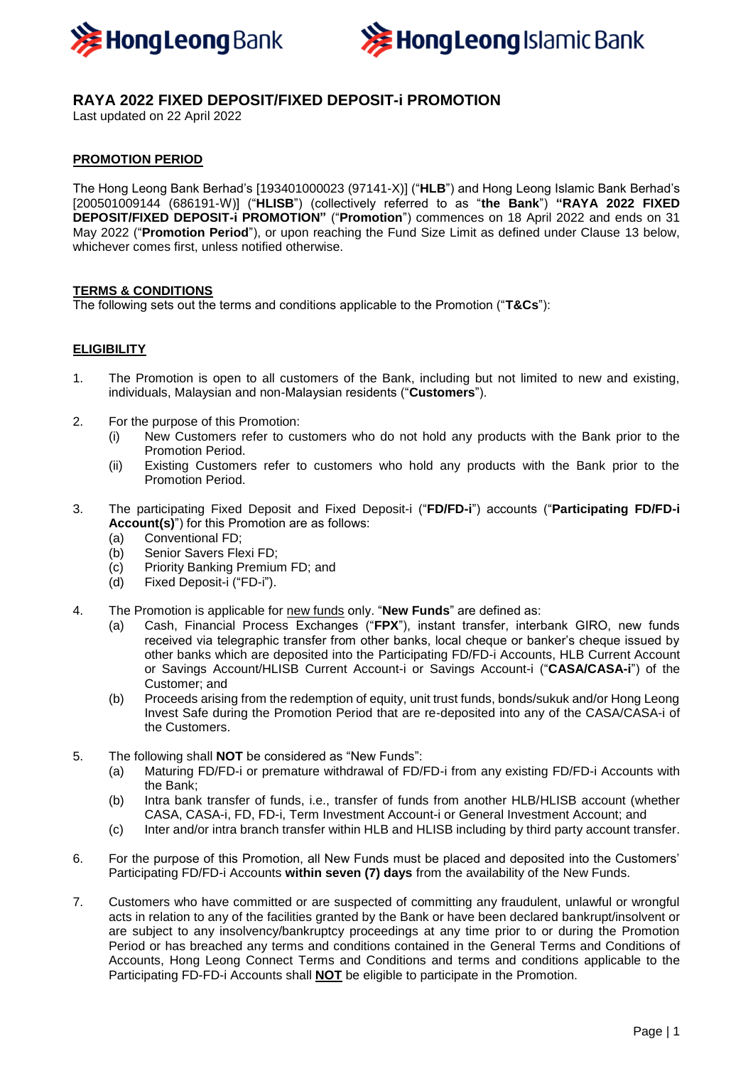



# **RAYA 2022 FIXED DEPOSIT/FIXED DEPOSIT-i PROMOTION**

Last updated on 22 April 2022

## **PROMOTION PERIOD**

The Hong Leong Bank Berhad's [193401000023 (97141-X)] ("**HLB**") and Hong Leong Islamic Bank Berhad's [200501009144 (686191-W)] ("**HLISB**") (collectively referred to as "**the Bank**") **"RAYA 2022 FIXED DEPOSIT/FIXED DEPOSIT-i PROMOTION"** ("**Promotion**") commences on 18 April 2022 and ends on 31 May 2022 ("**Promotion Period**"), or upon reaching the Fund Size Limit as defined under Clause 13 below, whichever comes first, unless notified otherwise.

#### **TERMS & CONDITIONS**

The following sets out the terms and conditions applicable to the Promotion ("**T&Cs**"):

#### **ELIGIBILITY**

- 1. The Promotion is open to all customers of the Bank, including but not limited to new and existing, individuals, Malaysian and non-Malaysian residents ("**Customers**").
- 2. For the purpose of this Promotion:
	- (i) New Customers refer to customers who do not hold any products with the Bank prior to the Promotion Period.
	- (ii) Existing Customers refer to customers who hold any products with the Bank prior to the Promotion Period.
- 3. The participating Fixed Deposit and Fixed Deposit-i ("**FD/FD-i**") accounts ("**Participating FD/FD-i Account(s)**") for this Promotion are as follows:
	- (a) Conventional FD;
	- (b) Senior Savers Flexi FD;
	- (c) Priority Banking Premium FD; and
	- (d) Fixed Deposit-i ("FD-i").
- 4. The Promotion is applicable for new funds only. "**New Funds**" are defined as:
	- (a) Cash, Financial Process Exchanges ("**FPX**"), instant transfer, interbank GIRO, new funds received via telegraphic transfer from other banks, local cheque or banker's cheque issued by other banks which are deposited into the Participating FD/FD-i Accounts, HLB Current Account or Savings Account/HLISB Current Account-i or Savings Account-i ("**CASA/CASA-i**") of the Customer; and
	- (b) Proceeds arising from the redemption of equity, unit trust funds, bonds/sukuk and/or Hong Leong Invest Safe during the Promotion Period that are re-deposited into any of the CASA/CASA-i of the Customers.
- 5. The following shall **NOT** be considered as "New Funds":
	- (a) Maturing FD/FD-i or premature withdrawal of FD/FD-i from any existing FD/FD-i Accounts with the Bank;
	- (b) Intra bank transfer of funds, i.e., transfer of funds from another HLB/HLISB account (whether CASA, CASA-i, FD, FD-i, Term Investment Account-i or General Investment Account; and
	- (c) Inter and/or intra branch transfer within HLB and HLISB including by third party account transfer.
- 6. For the purpose of this Promotion, all New Funds must be placed and deposited into the Customers' Participating FD/FD-i Accounts **within seven (7) days** from the availability of the New Funds.
- 7. Customers who have committed or are suspected of committing any fraudulent, unlawful or wrongful acts in relation to any of the facilities granted by the Bank or have been declared bankrupt/insolvent or are subject to any insolvency/bankruptcy proceedings at any time prior to or during the Promotion Period or has breached any terms and conditions contained in the General Terms and Conditions of Accounts, Hong Leong Connect Terms and Conditions and terms and conditions applicable to the Participating FD-FD-i Accounts shall **NOT** be eligible to participate in the Promotion.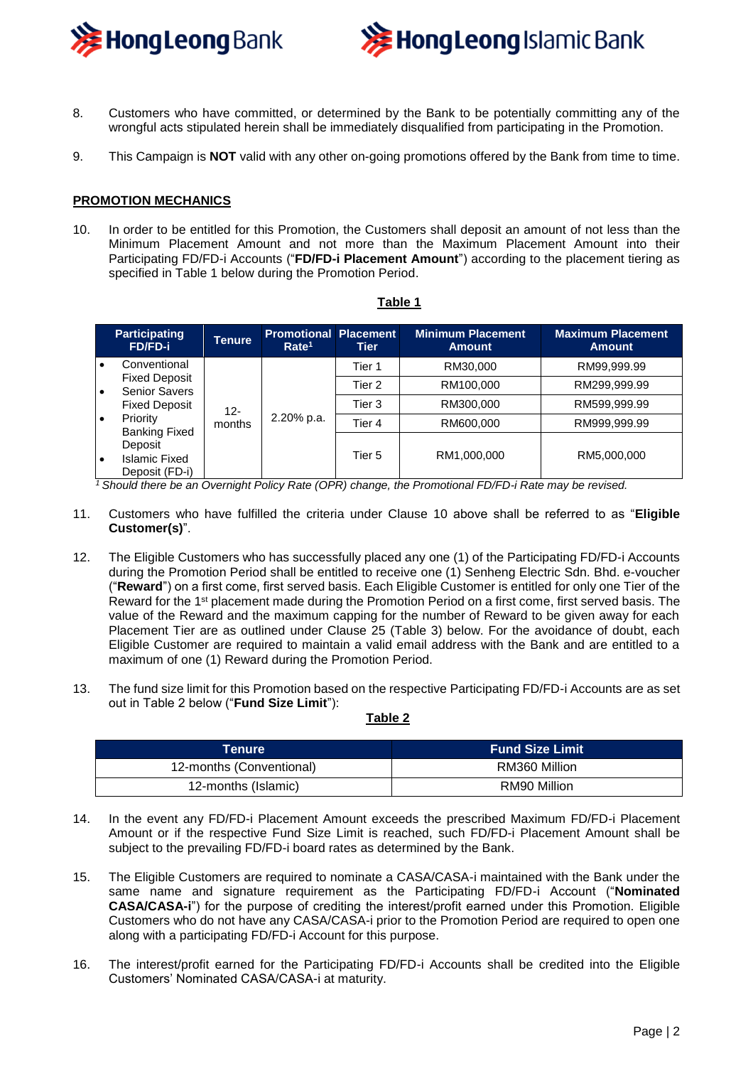



- 8. Customers who have committed, or determined by the Bank to be potentially committing any of the wrongful acts stipulated herein shall be immediately disqualified from participating in the Promotion.
- 9. This Campaign is **NOT** valid with any other on-going promotions offered by the Bank from time to time.

#### **PROMOTION MECHANICS**

10. In order to be entitled for this Promotion, the Customers shall deposit an amount of not less than the Minimum Placement Amount and not more than the Maximum Placement Amount into their Participating FD/FD-i Accounts ("**FD/FD-i Placement Amount**") according to the placement tiering as specified in Table 1 below during the Promotion Period.

|           | <b>Participating</b><br><b>FD/FD-i</b>       | <b>Tenure</b> | <b>Promotional Placement</b><br>Rate <sup>1</sup> | Tier   | <b>Minimum Placement</b><br><b>Amount</b> | <b>Maximum Placement</b><br><b>Amount</b> |
|-----------|----------------------------------------------|---------------|---------------------------------------------------|--------|-------------------------------------------|-------------------------------------------|
| $\bullet$ | Conventional                                 | 12-<br>months | 2.20% p.a.                                        | Tier 1 | RM30,000                                  | RM99,999.99                               |
| I۰        | <b>Fixed Deposit</b><br><b>Senior Savers</b> |               |                                                   | Tier 2 | RM100,000                                 | RM299,999.99                              |
|           | <b>Fixed Deposit</b>                         |               |                                                   | Tier 3 | RM300,000                                 | RM599,999.99                              |
| $\bullet$ | Priority<br><b>Banking Fixed</b>             |               |                                                   | Tier 4 | RM600,000                                 | RM999,999.99                              |
|           | Deposit                                      |               |                                                   |        |                                           |                                           |
| $\bullet$ | <b>Islamic Fixed</b><br>Deposit (FD-i)       |               |                                                   | Tier 5 | RM1,000,000                               | RM5,000,000                               |

#### **Table 1**

*<sup>1</sup>Should there be an Overnight Policy Rate (OPR) change, the Promotional FD/FD-i Rate may be revised.*

- 11. Customers who have fulfilled the criteria under Clause 10 above shall be referred to as "**Eligible Customer(s)**".
- 12. The Eligible Customers who has successfully placed any one (1) of the Participating FD/FD-i Accounts during the Promotion Period shall be entitled to receive one (1) Senheng Electric Sdn. Bhd. e-voucher ("**Reward**") on a first come, first served basis. Each Eligible Customer is entitled for only one Tier of the Reward for the 1<sup>st</sup> placement made during the Promotion Period on a first come, first served basis. The value of the Reward and the maximum capping for the number of Reward to be given away for each Placement Tier are as outlined under Clause 25 (Table 3) below. For the avoidance of doubt, each Eligible Customer are required to maintain a valid email address with the Bank and are entitled to a maximum of one (1) Reward during the Promotion Period.
- 13. The fund size limit for this Promotion based on the respective Participating FD/FD-i Accounts are as set out in Table 2 below ("**Fund Size Limit**"):

#### **Table 2**

| Tenure                   | <b>Fund Size Limit</b> |  |
|--------------------------|------------------------|--|
| 12-months (Conventional) | RM360 Million          |  |
| 12-months (Islamic)      | RM90 Million           |  |

- 14. In the event any FD/FD-i Placement Amount exceeds the prescribed Maximum FD/FD-i Placement Amount or if the respective Fund Size Limit is reached, such FD/FD-i Placement Amount shall be subject to the prevailing FD/FD-i board rates as determined by the Bank.
- 15. The Eligible Customers are required to nominate a CASA/CASA-i maintained with the Bank under the same name and signature requirement as the Participating FD/FD-i Account ("**Nominated CASA/CASA-i**") for the purpose of crediting the interest/profit earned under this Promotion. Eligible Customers who do not have any CASA/CASA-i prior to the Promotion Period are required to open one along with a participating FD/FD-i Account for this purpose.
- 16. The interest/profit earned for the Participating FD/FD-i Accounts shall be credited into the Eligible Customers' Nominated CASA/CASA-i at maturity.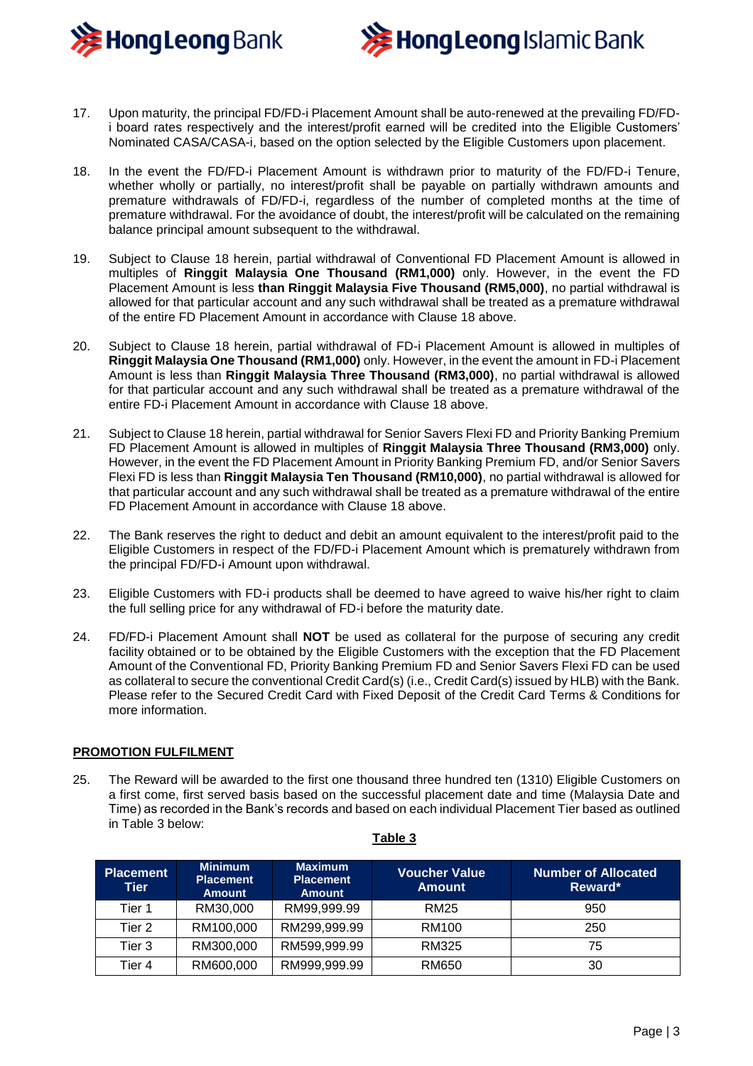



- 17. Upon maturity, the principal FD/FD-i Placement Amount shall be auto-renewed at the prevailing FD/FDi board rates respectively and the interest/profit earned will be credited into the Eligible Customers' Nominated CASA/CASA-i, based on the option selected by the Eligible Customers upon placement.
- 18. In the event the FD/FD-i Placement Amount is withdrawn prior to maturity of the FD/FD-i Tenure, whether wholly or partially, no interest/profit shall be payable on partially withdrawn amounts and premature withdrawals of FD/FD-i, regardless of the number of completed months at the time of premature withdrawal. For the avoidance of doubt, the interest/profit will be calculated on the remaining balance principal amount subsequent to the withdrawal.
- 19. Subject to Clause 18 herein, partial withdrawal of Conventional FD Placement Amount is allowed in multiples of **Ringgit Malaysia One Thousand (RM1,000)** only. However, in the event the FD Placement Amount is less **than Ringgit Malaysia Five Thousand (RM5,000)**, no partial withdrawal is allowed for that particular account and any such withdrawal shall be treated as a premature withdrawal of the entire FD Placement Amount in accordance with Clause 18 above.
- 20. Subject to Clause 18 herein, partial withdrawal of FD-i Placement Amount is allowed in multiples of **Ringgit Malaysia One Thousand (RM1,000)** only. However, in the event the amount in FD-i Placement Amount is less than **Ringgit Malaysia Three Thousand (RM3,000)**, no partial withdrawal is allowed for that particular account and any such withdrawal shall be treated as a premature withdrawal of the entire FD-i Placement Amount in accordance with Clause 18 above.
- 21. Subject to Clause 18 herein, partial withdrawal for Senior Savers Flexi FD and Priority Banking Premium FD Placement Amount is allowed in multiples of **Ringgit Malaysia Three Thousand (RM3,000)** only. However, in the event the FD Placement Amount in Priority Banking Premium FD, and/or Senior Savers Flexi FD is less than **Ringgit Malaysia Ten Thousand (RM10,000)**, no partial withdrawal is allowed for that particular account and any such withdrawal shall be treated as a premature withdrawal of the entire FD Placement Amount in accordance with Clause 18 above.
- 22. The Bank reserves the right to deduct and debit an amount equivalent to the interest/profit paid to the Eligible Customers in respect of the FD/FD-i Placement Amount which is prematurely withdrawn from the principal FD/FD-i Amount upon withdrawal.
- 23. Eligible Customers with FD-i products shall be deemed to have agreed to waive his/her right to claim the full selling price for any withdrawal of FD-i before the maturity date.
- 24. FD/FD-i Placement Amount shall **NOT** be used as collateral for the purpose of securing any credit facility obtained or to be obtained by the Eligible Customers with the exception that the FD Placement Amount of the Conventional FD, Priority Banking Premium FD and Senior Savers Flexi FD can be used as collateral to secure the conventional Credit Card(s) (i.e., Credit Card(s) issued by HLB) with the Bank. Please refer to the Secured Credit Card with Fixed Deposit of the Credit Card Terms & Conditions for more information.

## **PROMOTION FULFILMENT**

25. The Reward will be awarded to the first one thousand three hundred ten (1310) Eligible Customers on a first come, first served basis based on the successful placement date and time (Malaysia Date and Time) as recorded in the Bank's records and based on each individual Placement Tier based as outlined in Table 3 below:

| <b>Placement</b><br>Tier | <b>Minimum</b><br><b>Placement</b><br><b>Amount</b> | <b>Maximum</b><br><b>Placement</b><br><b>Amount</b> | <b>Voucher Value</b><br><b>Amount</b> | Number of Allocated<br>Reward* |
|--------------------------|-----------------------------------------------------|-----------------------------------------------------|---------------------------------------|--------------------------------|
| Tier 1                   | RM30,000                                            | RM99,999.99                                         | <b>RM25</b>                           | 950                            |
| Tier 2                   | RM100,000                                           | RM299,999.99                                        | <b>RM100</b>                          | 250                            |
| Tier 3                   | RM300,000                                           | RM599,999.99                                        | RM325                                 | 75                             |
| Tier 4                   | RM600,000                                           | RM999,999.99                                        | <b>RM650</b>                          | 30                             |

#### **Table 3**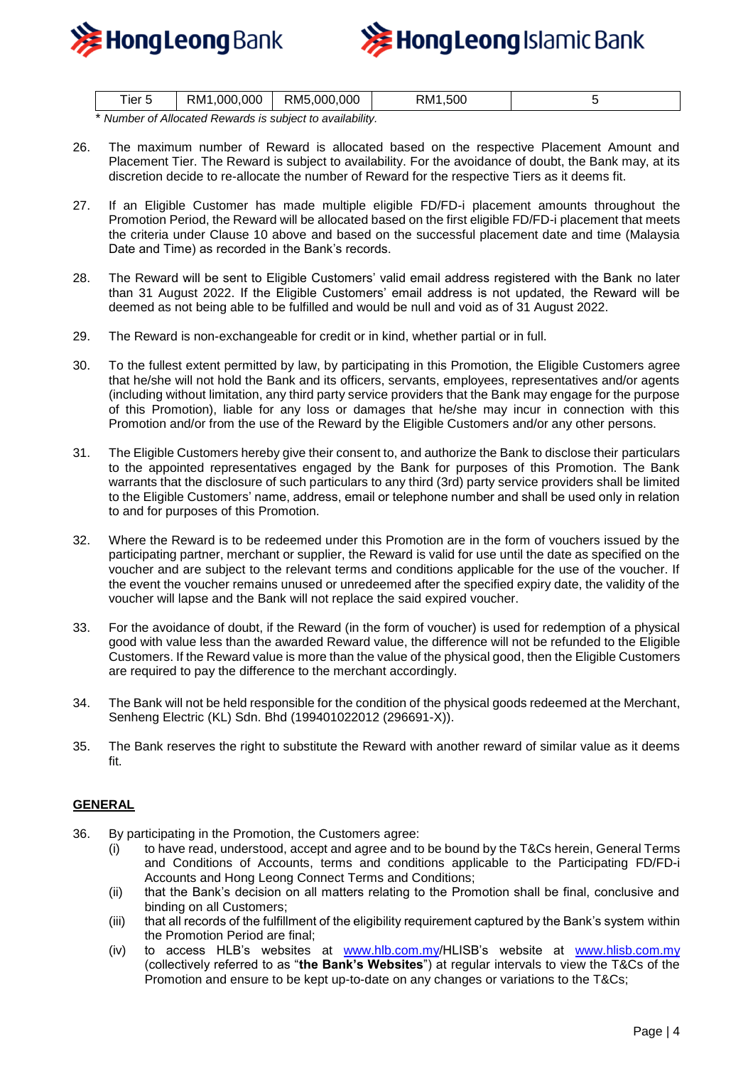



| ler 5  | ,000,000<br>RM <sup>1</sup> | RM5,000,000 | .500<br>км· |  |
|--------|-----------------------------|-------------|-------------|--|
| .<br>. | ___                         |             |             |  |

\* *Number of Allocated Rewards is subject to availability.*

- 26. The maximum number of Reward is allocated based on the respective Placement Amount and Placement Tier. The Reward is subject to availability. For the avoidance of doubt, the Bank may, at its discretion decide to re-allocate the number of Reward for the respective Tiers as it deems fit.
- 27. If an Eligible Customer has made multiple eligible FD/FD-i placement amounts throughout the Promotion Period, the Reward will be allocated based on the first eligible FD/FD-i placement that meets the criteria under Clause 10 above and based on the successful placement date and time (Malaysia Date and Time) as recorded in the Bank's records.
- 28. The Reward will be sent to Eligible Customers' valid email address registered with the Bank no later than 31 August 2022. If the Eligible Customers' email address is not updated, the Reward will be deemed as not being able to be fulfilled and would be null and void as of 31 August 2022.
- 29. The Reward is non-exchangeable for credit or in kind, whether partial or in full.
- 30. To the fullest extent permitted by law, by participating in this Promotion, the Eligible Customers agree that he/she will not hold the Bank and its officers, servants, employees, representatives and/or agents (including without limitation, any third party service providers that the Bank may engage for the purpose of this Promotion), liable for any loss or damages that he/she may incur in connection with this Promotion and/or from the use of the Reward by the Eligible Customers and/or any other persons.
- 31. The Eligible Customers hereby give their consent to, and authorize the Bank to disclose their particulars to the appointed representatives engaged by the Bank for purposes of this Promotion. The Bank warrants that the disclosure of such particulars to any third (3rd) party service providers shall be limited to the Eligible Customers' name, address, email or telephone number and shall be used only in relation to and for purposes of this Promotion.
- 32. Where the Reward is to be redeemed under this Promotion are in the form of vouchers issued by the participating partner, merchant or supplier, the Reward is valid for use until the date as specified on the voucher and are subject to the relevant terms and conditions applicable for the use of the voucher. If the event the voucher remains unused or unredeemed after the specified expiry date, the validity of the voucher will lapse and the Bank will not replace the said expired voucher.
- 33. For the avoidance of doubt, if the Reward (in the form of voucher) is used for redemption of a physical good with value less than the awarded Reward value, the difference will not be refunded to the Eligible Customers. If the Reward value is more than the value of the physical good, then the Eligible Customers are required to pay the difference to the merchant accordingly.
- 34. The Bank will not be held responsible for the condition of the physical goods redeemed at the Merchant, Senheng Electric (KL) Sdn. Bhd (199401022012 (296691-X)).
- 35. The Bank reserves the right to substitute the Reward with another reward of similar value as it deems fit.

## **GENERAL**

- 36. By participating in the Promotion, the Customers agree:
	- (i) to have read, understood, accept and agree and to be bound by the T&Cs herein, General Terms and Conditions of Accounts, terms and conditions applicable to the Participating FD/FD-i Accounts and Hong Leong Connect Terms and Conditions;
	- (ii) that the Bank's decision on all matters relating to the Promotion shall be final, conclusive and binding on all Customers;
	- (iii) that all records of the fulfillment of the eligibility requirement captured by the Bank's system within the Promotion Period are final;
	- (iv) to access HLB's websites at [www.hlb.com.my/](http://www.hlb.com.my/)HLISB's website at [www.hlisb.com.my](http://www.hlisb.com.my/) (collectively referred to as "**the Bank's Websites**") at regular intervals to view the T&Cs of the Promotion and ensure to be kept up-to-date on any changes or variations to the T&Cs;